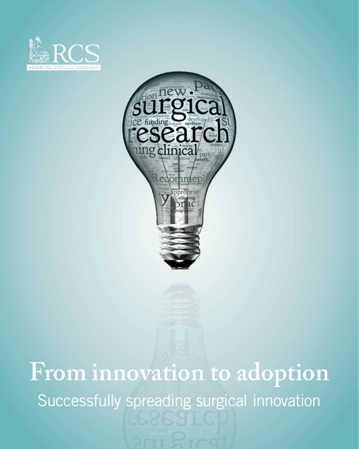



### **From innovation to adoption** Successfully spreading surgical innovation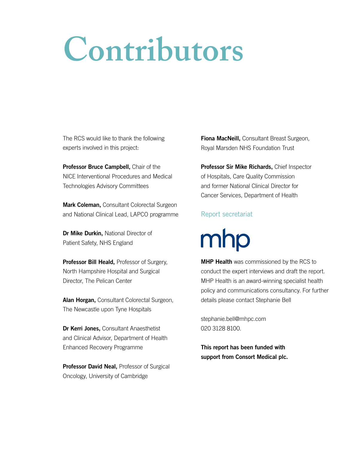## **Contributors**

The RCS would like to thank the following experts involved in this project:

Professor Bruce Campbell, Chair of the NICE Interventional Procedures and Medical Technologies Advisory Committees

**Mark Coleman, Consultant Colorectal Surgeon** and National Clinical Lead, LAPCO programme

Dr Mike Durkin, National Director of Patient Safety, NHS England

Professor Bill Heald, Professor of Surgery, North Hampshire Hospital and Surgical Director, The Pelican Center

Alan Horgan, Consultant Colorectal Surgeon, The Newcastle upon Tyne Hospitals

Dr Kerri Jones, Consultant Anaesthetist and Clinical Advisor, Department of Health Enhanced Recovery Programme

Professor David Neal, Professor of Surgical Oncology, University of Cambridge

**Fiona MacNeill, Consultant Breast Surgeon,** Royal Marsden NHS Foundation Trust

Professor Sir Mike Richards, Chief Inspector of Hospitals, Care Quality Commission and former National Clinical Director for Cancer Services, Department of Health

#### Report secretariat

mhp

**MHP Health** was commissioned by the RCS to conduct the expert interviews and draft the report. MHP Health is an award-winning specialist health policy and communications consultancy. For further details please contact Stephanie Bell

stephanie.bell@mhpc.com 020 3128 8100.

This report has been funded with support from Consort Medical plc.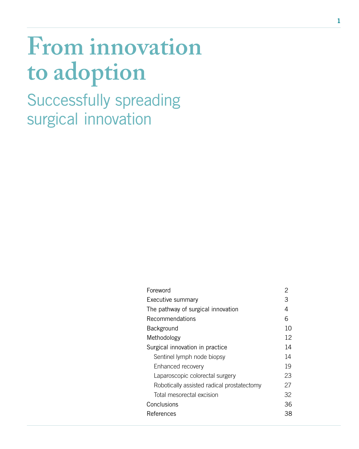### **From innovation to adoption**

Successfully spreading surgical innovation

| Foreword                                   | 2  |
|--------------------------------------------|----|
| Executive summary                          | З  |
| The pathway of surgical innovation         | 4  |
| Recommendations                            | 6  |
| Background                                 | 10 |
| Methodology                                | 12 |
| Surgical innovation in practice            | 14 |
| Sentinel lymph node biopsy                 | 14 |
| Enhanced recovery                          | 19 |
| Laparoscopic colorectal surgery            | 23 |
| Robotically assisted radical prostatectomy | 27 |
| Total mesorectal excision                  | 32 |
| Conclusions                                | 36 |
| References                                 | 38 |
|                                            |    |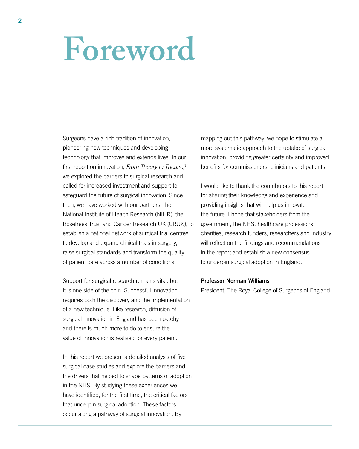### **Foreword**

Surgeons have a rich tradition of innovation, pioneering new techniques and developing technology that improves and extends lives. In our first report on innovation, *From Theory to Theatre*, 1 we explored the barriers to surgical research and called for increased investment and support to safeguard the future of surgical innovation. Since then, we have worked with our partners, the National Institute of Health Research (NIHR), the Rosetrees Trust and Cancer Research UK (CRUK), to establish a national network of surgical trial centres to develop and expand clinical trials in surgery, raise surgical standards and transform the quality of patient care across a number of conditions.

Support for surgical research remains vital, but it is one side of the coin. Successful innovation requires both the discovery and the implementation of a new technique. Like research, diffusion of surgical innovation in England has been patchy and there is much more to do to ensure the value of innovation is realised for every patient.

In this report we present a detailed analysis of five surgical case studies and explore the barriers and the drivers that helped to shape patterns of adoption in the NHS. By studying these experiences we have identified, for the first time, the critical factors that underpin surgical adoption. These factors occur along a pathway of surgical innovation. By

mapping out this pathway, we hope to stimulate a more systematic approach to the uptake of surgical innovation, providing greater certainty and improved benefits for commissioners, clinicians and patients.

I would like to thank the contributors to this report for sharing their knowledge and experience and providing insights that will help us innovate in the future. I hope that stakeholders from the government, the NHS, healthcare professions, charities, research funders, researchers and industry will reflect on the findings and recommendations in the report and establish a new consensus to underpin surgical adoption in England.

#### Professor Norman Williams

President, The Royal College of Surgeons of England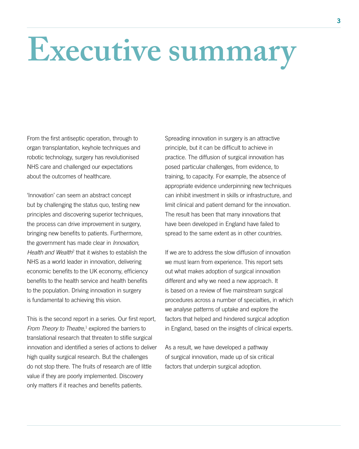# **Executive summary**

From the first antiseptic operation, through to organ transplantation, keyhole techniques and robotic technology, surgery has revolutionised NHS care and challenged our expectations about the outcomes of healthcare.

'Innovation' can seem an abstract concept but by challenging the status quo, testing new principles and discovering superior techniques, the process can drive improvement in surgery, bringing new benefits to patients. Furthermore, the government has made clear in *Innovation,*  Health and Wealth<sup>2</sup> that it wishes to establish the NHS as a world leader in innovation, delivering economic benefits to the UK economy, efficiency benefits to the health service and health benefits to the population. Driving innovation in surgery is fundamental to achieving this vision.

This is the second report in a series. Our first report, From Theory to Theatre,<sup>1</sup> explored the barriers to translational research that threaten to stifle surgical innovation and identified a series of actions to deliver high quality surgical research. But the challenges do not stop there. The fruits of research are of little value if they are poorly implemented. Discovery only matters if it reaches and benefits patients.

Spreading innovation in surgery is an attractive principle, but it can be difficult to achieve in practice. The diffusion of surgical innovation has posed particular challenges, from evidence, to training, to capacity. For example, the absence of appropriate evidence underpinning new techniques can inhibit investment in skills or infrastructure, and limit clinical and patient demand for the innovation. The result has been that many innovations that have been developed in England have failed to spread to the same extent as in other countries.

If we are to address the slow diffusion of innovation we must learn from experience. This report sets out what makes adoption of surgical innovation different and why we need a new approach. It is based on a review of five mainstream surgical procedures across a number of specialties, in which we analyse patterns of uptake and explore the factors that helped and hindered surgical adoption in England, based on the insights of clinical experts.

As a result, we have developed a pathway of surgical innovation, made up of six critical factors that underpin surgical adoption.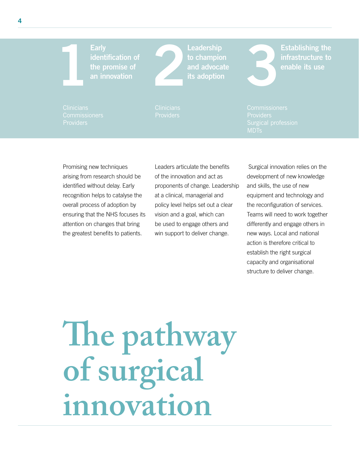Leadership to champion and advocate its adoption

Establishing the

Providers

Promising new techniques arising from research should be identified without delay. Early recognition helps to catalyse the overall process of adoption by ensuring that the NHS focuses its attention on changes that bring the greatest benefits to patients.

Leaders articulate the benefits of the innovation and act as proponents of change. Leadership at a clinical, managerial and policy level helps set out a clear vision and a goal, which can be used to engage others and win support to deliver change.

 Surgical innovation relies on the development of new knowledge and skills, the use of new equipment and technology and the reconfiguration of services. Teams will need to work together differently and engage others in new ways. Local and national action is therefore critical to establish the right surgical capacity and organisational structure to deliver change.

**The pathway of surgical innovation**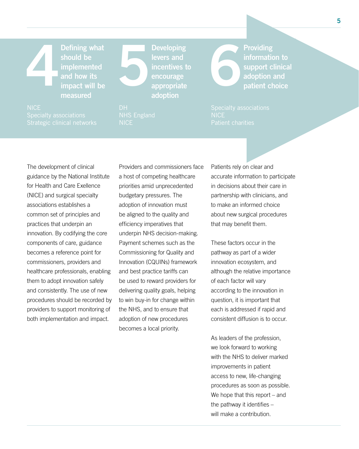Defining what should be implemented and how its impact will be measured Defining what<br>
should be<br>
implemented<br>
and how its<br>
impact will be<br>
measured<br>
adoption<br>
and appropriate<br>
adoption<br>
adoption<br>
adoption<br>
adoption<br>
adoption<br>
adoption<br>
adoption<br>
adoption<br>
adoption<br>
adoption<br>
adoption<br>
adoptio

Developing levers and incentives to encourage appropriate adoption

Providing information to support clinical

The development of clinical guidance by the National Institute for Health and Care Exellence (NICE) and surgical specialty associations establishes a common set of principles and practices that underpin an innovation. By codifying the core components of care, guidance becomes a reference point for commissioners, providers and healthcare professionals, enabling them to adopt innovation safely and consistently. The use of new procedures should be recorded by providers to support monitoring of both implementation and impact.

Providers and commissioners face a host of competing healthcare priorities amid unprecedented budgetary pressures. The adoption of innovation must be aligned to the quality and efficiency imperatives that underpin NHS decision-making. Payment schemes such as the Commissioning for Quality and Innovation (CQUINs) framework and best practice tariffs can be used to reward providers for delivering quality goals, helping to win buy-in for change within the NHS, and to ensure that adoption of new procedures becomes a local priority.

Patients rely on clear and accurate information to participate in decisions about their care in partnership with clinicians, and to make an informed choice about new surgical procedures that may benefit them.

These factors occur in the pathway as part of a wider innovation ecosystem, and although the relative importance of each factor will vary according to the innovation in question, it is important that each is addressed if rapid and consistent diffusion is to occur.

As leaders of the profession, we look forward to working with the NHS to deliver marked improvements in patient access to new, life-changing procedures as soon as possible. We hope that this report – and the pathway it identifies – will make a contribution.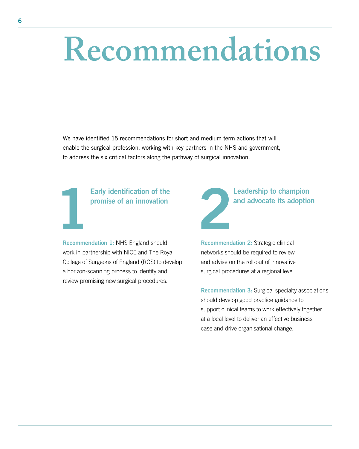## **Recommendations**

We have identified 15 recommendations for short and medium term actions that will enable the surgical profession, working with key partners in the NHS and government, to address the six critical factors along the pathway of surgical innovation.

### Early identification of the

Recommendation 1: NHS England should work in partnership with NICE and The Royal College of Surgeons of England (RCS) to develop a horizon-scanning process to identify and review promising new surgical procedures.

Early identification of the promise of an innovation and advocate its adoption and advocate its adoption **Example 18 Example 18 Advocate its adoption**<br>
2

Recommendation 2: Strategic clinical networks should be required to review and advise on the roll-out of innovative surgical procedures at a regional level.

Recommendation 3: Surgical specialty associations should develop good practice guidance to support clinical teams to work effectively together at a local level to deliver an effective business case and drive organisational change.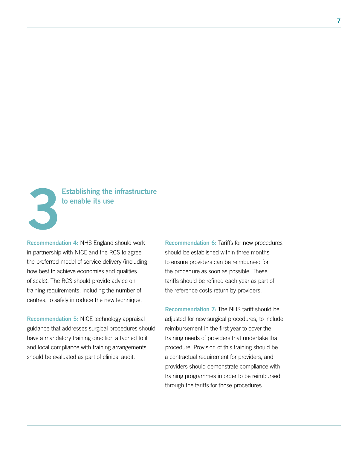

### Establishing the infrastructure

Recommendation 4: NHS England should work in partnership with NICE and the RCS to agree the preferred model of service delivery (including how best to achieve economies and qualities of scale). The RCS should provide advice on training requirements, including the number of centres, to safely introduce the new technique.

Recommendation 5: NICE technology appraisal guidance that addresses surgical procedures should have a mandatory training direction attached to it and local compliance with training arrangements should be evaluated as part of clinical audit.

Recommendation 6: Tariffs for new procedures should be established within three months to ensure providers can be reimbursed for the procedure as soon as possible. These tariffs should be refined each year as part of the reference costs return by providers.

Recommendation 7: The NHS tariff should be adjusted for new surgical procedures, to include reimbursement in the first year to cover the training needs of providers that undertake that procedure. Provision of this training should be a contractual requirement for providers, and providers should demonstrate compliance with training programmes in order to be reimbursed through the tariffs for those procedures.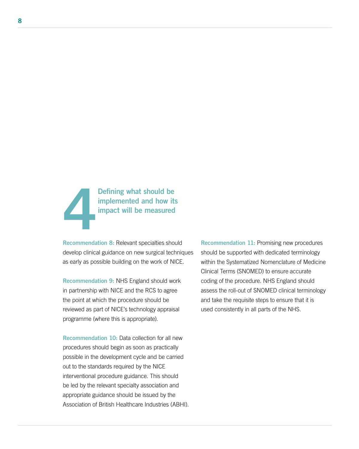

Recommendation 8: Relevant specialties should develop clinical guidance on new surgical techniques as early as possible building on the work of NICE.

Recommendation 9: NHS England should work in partnership with NICE and the RCS to agree the point at which the procedure should be reviewed as part of NICE's technology appraisal programme (where this is appropriate).

Recommendation 10: Data collection for all new procedures should begin as soon as practically possible in the development cycle and be carried out to the standards required by the NICE interventional procedure guidance. This should be led by the relevant specialty association and appropriate guidance should be issued by the Association of British Healthcare Industries (ABHI). Recommendation 11: Promising new procedures should be supported with dedicated terminology within the Systematized Nomenclature of Medicine Clinical Terms (SNOMED) to ensure accurate coding of the procedure. NHS England should assess the roll-out of SNOMED clinical terminology and take the requisite steps to ensure that it is used consistently in all parts of the NHS.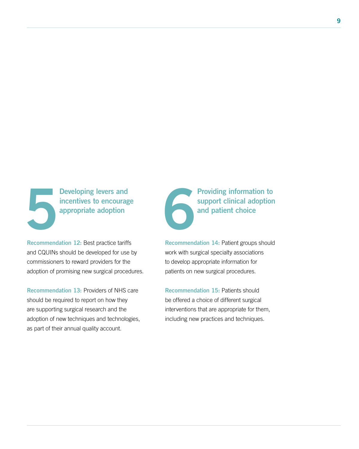Developing levers and Developing levers and<br>incentives to encourage<br>appropriate adoption

Recommendation 12: Best practice tariffs and CQUINs should be developed for use by commissioners to reward providers for the adoption of promising new surgical procedures.

Recommendation 13: Providers of NHS care should be required to report on how they are supporting surgical research and the adoption of new techniques and technologies, as part of their annual quality account.

Providing information to support clinical adoption and patient choice

Recommendation 14: Patient groups should work with surgical specialty associations to develop appropriate information for patients on new surgical procedures.

Recommendation 15: Patients should be offered a choice of different surgical interventions that are appropriate for them, including new practices and techniques.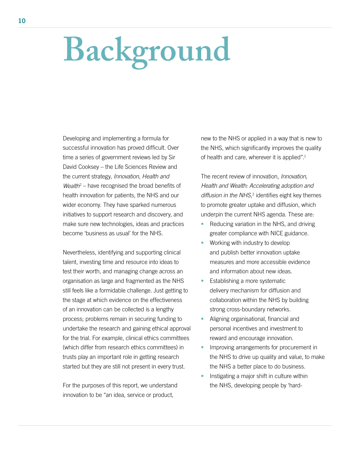# **Background**

Developing and implementing a formula for successful innovation has proved difficult. Over time a series of government reviews led by Sir David Cooksey – the Life Sciences Review and the current strategy, *Innovation, Health and*  Wealth<sup>2</sup> – have recognised the broad benefits of health innovation for patients, the NHS and our wider economy. They have sparked numerous initiatives to support research and discovery, and make sure new technologies, ideas and practices become 'business as usual' for the NHS.

Nevertheless, identifying and supporting clinical talent, investing time and resource into ideas to test their worth, and managing change across an organisation as large and fragmented as the NHS still feels like a formidable challenge. Just getting to the stage at which evidence on the effectiveness of an innovation can be collected is a lengthy process; problems remain in securing funding to undertake the research and gaining ethical approval for the trial. For example, clinical ethics committees (which differ from research ethics committees) in trusts play an important role in getting research started but they are still not present in every trust.

For the purposes of this report, we understand innovation to be "an idea, service or product,

new to the NHS or applied in a way that is new to the NHS, which significantly improves the quality of health and care, wherever it is applied".1

The recent review of innovation, *Innovation, Health and Wealth: Accelerating adoption and*  diffusion in the NHS,<sup>2</sup> identifies eight key themes to promote greater uptake and diffusion, which underpin the current NHS agenda. These are:

- Reducing variation in the NHS, and driving greater compliance with NICE guidance.
- Working with industry to develop and publish better innovation uptake measures and more accessible evidence and information about new ideas.
- Establishing a more systematic delivery mechanism for diffusion and collaboration within the NHS by building strong cross-boundary networks.
- Aligning organisational, financial and personal incentives and investment to reward and encourage innovation.
- Improving arrangements for procurement in the NHS to drive up quality and value, to make the NHS a better place to do business.
- Instigating a major shift in culture within the NHS, developing people by 'hard-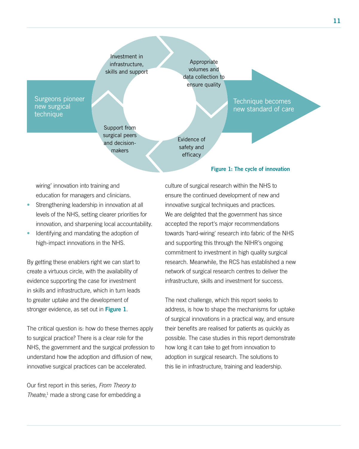

wiring' innovation into training and education for managers and clinicians.

- Strengthening leadership in innovation at all levels of the NHS, setting clearer priorities for innovation, and sharpening local accountability.
- Identifying and mandating the adoption of high-impact innovations in the NHS.

By getting these enablers right we can start to create a virtuous circle, with the availability of evidence supporting the case for investment in skills and infrastructure, which in turn leads to greater uptake and the development of stronger evidence, as set out in Figure 1.

The critical question is: how do these themes apply to surgical practice? There is a clear role for the NHS, the government and the surgical profession to understand how the adoption and diffusion of new, innovative surgical practices can be accelerated.

Our first report in this series, *From Theory to Theatre*, 1 made a strong case for embedding a culture of surgical research within the NHS to ensure the continued development of new and innovative surgical techniques and practices. We are delighted that the government has since accepted the report's major recommendations towards 'hard-wiring' research into fabric of the NHS and supporting this through the NIHR's ongoing commitment to investment in high quality surgical research. Meanwhile, the RCS has established a new network of surgical research centres to deliver the infrastructure, skills and investment for success.

The next challenge, which this report seeks to address, is how to shape the mechanisms for uptake of surgical innovations in a practical way, and ensure their benefits are realised for patients as quickly as possible. The case studies in this report demonstrate how long it can take to get from innovation to adoption in surgical research. The solutions to this lie in infrastructure, training and leadership.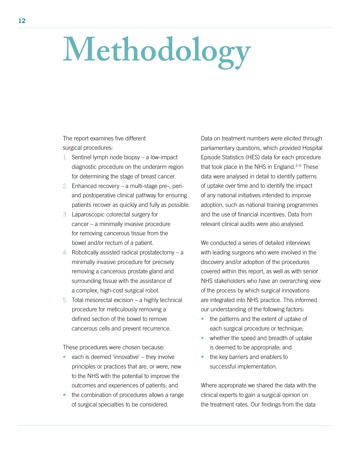# **Methodology**

The report examines five different surgical procedures:

- 1. Sentinel lymph node biopsy a low-impact diagnostic procedure on the underarm region for determining the stage of breast cancer.
- 2. Enhanced recovery a multi-stage pre-, periand postoperative clinical pathway for ensuring patients recover as quickly and fully as possible.
- 3. Laparoscopic colorectal surgery for cancer – a minimally invasive procedure for removing cancerous tissue from the bowel and/or rectum of a patient.
- 4. Robotically assisted radical prostatectomy a minimally invasive procedure for precisely removing a cancerous prostate gland and surrounding tissue with the assistance of a complex, high-cost surgical robot.
- 5. Total mesorectal excision  $-$  a highly technical procedure for meticulously removing a defined section of the bowel to remove cancerous cells and prevent recurrence.

These procedures were chosen because:

- each is deemed 'innovative' they involve principles or practices that are, or were, new to the NHS with the potential to improve the outcomes and experiences of patients; and
- the combination of procedures allows a range of surgical specialties to be considered.

Data on treatment numbers were elicited through parliamentary questions, which provided Hospital Episode Statistics (HES) data for each procedure that took place in the NHS in England.3–6 These data were analysed in detail to identify patterns of uptake over time and to identify the impact of any national initiatives intended to improve adoption, such as national training programmes and the use of financial incentives. Data from relevant clinical audits were also analysed.

We conducted a series of detailed interviews with leading surgeons who were involved in the discovery and/or adoption of the procedures covered within this report, as well as with senior NHS stakeholders who have an overarching view of the process by which surgical innovations are integrated into NHS practice. This informed our understanding of the following factors:

- the patterns and the extent of uptake of each surgical procedure or technique;
- whether the speed and breadth of uptake is deemed to be appropriate; and
- the key barriers and enablers to successful implementation.

Where appropriate we shared the data with the clinical experts to gain a surgical opinion on the treatment rates. Our findings from the data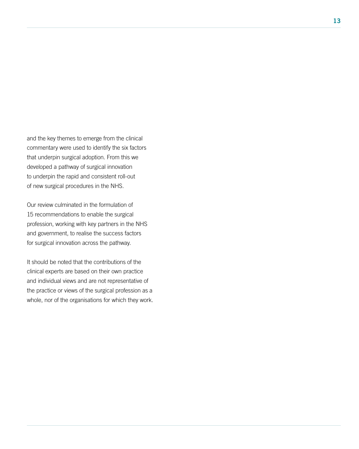and the key themes to emerge from the clinical commentary were used to identify the six factors that underpin surgical adoption. From this we developed a pathway of surgical innovation to underpin the rapid and consistent roll-out of new surgical procedures in the NHS.

Our review culminated in the formulation of 15 recommendations to enable the surgical profession, working with key partners in the NHS and government, to realise the success factors for surgical innovation across the pathway.

It should be noted that the contributions of the clinical experts are based on their own practice and individual views and are not representative of the practice or views of the surgical profession as a whole, nor of the organisations for which they work.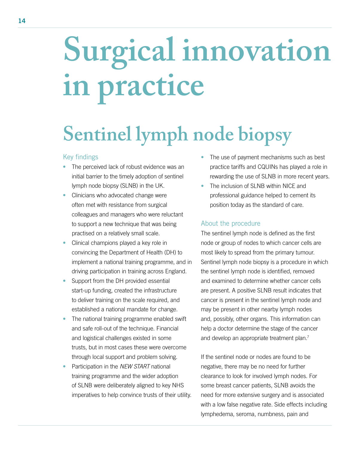## **Surgical innovation in practice**

### **Sentinel lymph node biopsy**

#### Key findings

- The perceived lack of robust evidence was an initial barrier to the timely adoption of sentinel lymph node biopsy (SLNB) in the UK.
- Clinicians who advocated change were often met with resistance from surgical colleagues and managers who were reluctant to support a new technique that was being practised on a relatively small scale.
- Clinical champions played a key role in convincing the Department of Health (DH) to implement a national training programme, and in driving participation in training across England.
- Support from the DH provided essential start-up funding, created the infrastructure to deliver training on the scale required, and established a national mandate for change.
- The national training programme enabled swift and safe roll-out of the technique. Financial and logistical challenges existed in some trusts, but in most cases these were overcome through local support and problem solving.
- Participation in the *NEW START* national training programme and the wider adoption of SLNB were deliberately aligned to key NHS imperatives to help convince trusts of their utility.
- The use of payment mechanisms such as best practice tariffs and CQUINs has played a role in rewarding the use of SLNB in more recent years.
- The inclusion of SLNB within NICE and professional guidance helped to cement its position today as the standard of care.

#### About the procedure

The sentinel lymph node is defined as the first node or group of nodes to which cancer cells are most likely to spread from the primary tumour. Sentinel lymph node biopsy is a procedure in which the sentinel lymph node is identified, removed and examined to determine whether cancer cells are present. A positive SLNB result indicates that cancer is present in the sentinel lymph node and may be present in other nearby lymph nodes and, possibly, other organs. This information can help a doctor determine the stage of the cancer and develop an appropriate treatment plan.<sup>7</sup>

If the sentinel node or nodes are found to be negative, there may be no need for further clearance to look for involved lymph nodes. For some breast cancer patients, SLNB avoids the need for more extensive surgery and is associated with a low false negative rate. Side effects including lymphedema, seroma, numbness, pain and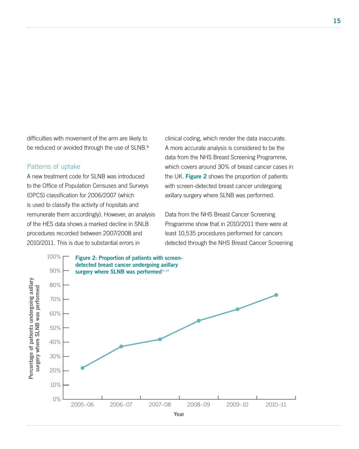difficulties with movement of the arm are likely to be reduced or avoided through the use of SLNB.<sup>8</sup>

#### Patterns of uptake

A new treatment code for SLNB was introduced to the Office of Population Censuses and Surveys (OPCS) classification for 2006/2007 (which is used to classify the activity of hopsitals and remunerate them accordingly). However, an analysis of the HES data shows a marked decline in SNLB procedures recorded between 2007/2008 and 2010/2011. This is due to substantial errors in

clinical coding, which render the data inaccurate. A more accurate analysis is considered to be the data from the NHS Breast Screening Programme, which covers around 30% of breast cancer cases in the UK. Figure 2 shows the proportion of patients with screen-detected breast cancer undergoing axillary surgery where SLNB was performed.

Data from the NHS Breast Cancer Screening Programme show that in 2010/2011 there were at least 10,535 procedures performed for cancers detected through the NHS Breast Cancer Screening

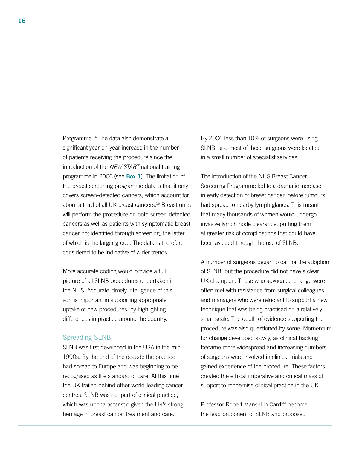Programme.<sup>14</sup> The data also demonstrate a significant year-on-year increase in the number of patients receiving the procedure since the introduction of the *NEW START* national training programme in 2006 (see **Box 1**). The limitation of the breast screening programme data is that it only covers screen-detected cancers, which account for about a third of all UK breast cancers.15 Breast units will perform the procedure on both screen-detected cancers as well as patients with symptomatic breast cancer not identified through screening, the latter of which is the larger group. The data is therefore considered to be indicative of wider trends.

More accurate coding would provide a full picture of all SLNB procedures undertaken in the NHS. Accurate, timely intelligence of this sort is important in supporting appropriate uptake of new procedures, by highlighting differences in practice around the country.

#### Spreading SLNB

SLNB was first developed in the USA in the mid 1990s. By the end of the decade the practice had spread to Europe and was beginning to be recognised as the standard of care. At this time the UK trailed behind other world-leading cancer centres. SLNB was not part of clinical practice, which was uncharacteristic given the UK's strong heritage in breast cancer treatment and care.

By 2006 less than 10% of surgeons were using SLNB, and most of these surgeons were located in a small number of specialist services.

The introduction of the NHS Breast Cancer Screening Programme led to a dramatic increase in early detection of breast cancer, before tumours had spread to nearby lymph glands. This meant that many thousands of women would undergo invasive lymph node clearance, putting them at greater risk of complications that could have been avoided through the use of SLNB.

A number of surgeons began to call for the adoption of SLNB, but the procedure did not have a clear UK champion. Those who advocated change were often met with resistance from surgical colleagues and managers who were reluctant to support a new technique that was being practised on a relatively small scale. The depth of evidence supporting the procedure was also questioned by some. Momentum for change developed slowly, as clinical backing became more widespread and increasing numbers of surgeons were involved in clinical trials and gained experience of the procedure. These factors created the ethical imperative and critical mass of support to modernise clinical practice in the UK.

Professor Robert Mansel in Cardiff become the lead proponent of SLNB and proposed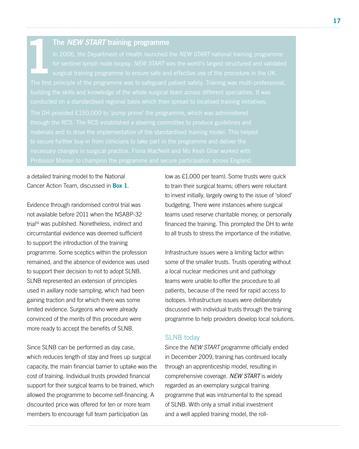#### 1 The *NEW START* training programme

a detailed training model to the National Cancer Action Team, discussed in **Box 1.** 

Evidence through randomised control trial was not available before 2011 when the NSABP-32 trial<sup>16</sup> was published. Nonetheless, indirect and circumstantial evidence was deemed sufficient to support the introduction of the training programme. Some sceptics within the profession remained, and the absence of evidence was used to support their decision to not to adopt SLNB. SLNB represented an extension of principles used in axillary node sampling, which had been gaining traction and for which there was some limited evidence. Surgeons who were already convinced of the merits of this procedure were more ready to accept the benefits of SLNB.

Since SLNB can be performed as day case, which reduces length of stay and frees up surgical capacity, the main financial barrier to uptake was the cost of training. Individual trusts provided financial support for their surgical teams to be trained, which allowed the programme to become self-financing. A discounted price was offered for ten or more team members to encourage full team participation (as

low as £1,000 per team). Some trusts were quick to train their surgical teams; others were reluctant to invest initially, largely owing to the issue of 'siloed' budgeting. There were instances where surgical teams used reserve charitable money, or personally financed the training. This prompted the DH to write to all trusts to stress the importance of the initiative.

Infrastructure issues were a limiting factor within some of the smaller trusts. Trusts operating without a local nuclear medicines unit and pathology teams were unable to offer the procedure to all patients, because of the need for rapid access to isotopes. Infrastructure issues were deliberately discussed with individual trusts through the training programme to help providers develop local solutions.

#### SLNB today

Since the *NEW START* programme officially ended in December 2009, training has continued locally through an apprenticeship model, resulting in comprehensive coverage. *NEW START* is widely regarded as an exemplary surgical training programme that was instrumental to the spread of SLNB. With only a small initial investment and a well applied training model, the roll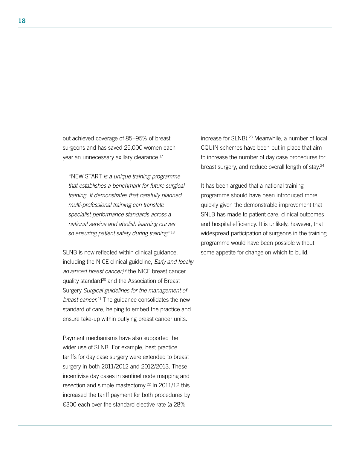out achieved coverage of 85–95% of breast surgeons and has saved 25,000 women each year an unnecessary axillary clearance.17

*"*NEW START *is a unique training programme that establishes a benchmark for future surgical training. It demonstrates that carefully planned multi-professional training can translate specialist performance standards across a national service and abolish learning curves so ensuring patient safety during training".*<sup>18</sup>

SLNB is now reflected within clinical guidance, including the NICE clinical guideline, *Early and locally*  advanced breast cancer,<sup>19</sup> the NICE breast cancer quality standard<sup>20</sup> and the Association of Breast Surgery *Surgical guidelines for the management of breast cancer*. 21 The guidance consolidates the new standard of care, helping to embed the practice and ensure take-up within outlying breast cancer units.

Payment mechanisms have also supported the wider use of SLNB. For example, best practice tariffs for day case surgery were extended to breast surgery in both 2011/2012 and 2012/2013. These incentivise day cases in sentinel node mapping and resection and simple mastectomy.<sup>22</sup> In 2011/12 this increased the tariff payment for both procedures by £300 each over the standard elective rate (a 28%

increase for SLNB).<sup>23</sup> Meanwhile, a number of local CQUIN schemes have been put in place that aim to increase the number of day case procedures for breast surgery, and reduce overall length of stay.<sup>24</sup>

It has been argued that a national training programme should have been introduced more quickly given the demonstrable improvement that SNLB has made to patient care, clinical outcomes and hospital efficiency. It is unlikely, however, that widespread participation of surgeons in the training programme would have been possible without some appetite for change on which to build.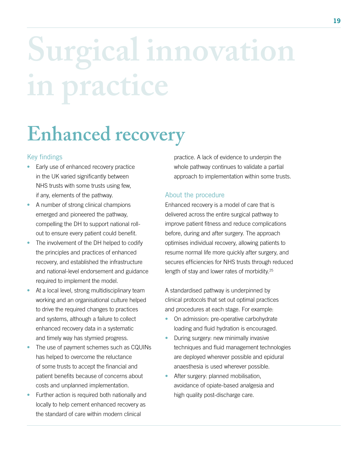# **Surgical innovation in practice**

### **Enhanced recovery**

#### Key findings

- Early use of enhanced recovery practice in the UK varied significantly between NHS trusts with some trusts using few, if any, elements of the pathway.
- A number of strong clinical champions emerged and pioneered the pathway, compelling the DH to support national rollout to ensure every patient could benefit.
- The involvement of the DH helped to codify the principles and practices of enhanced recovery, and established the infrastructure and national-level endorsement and guidance required to implement the model.
- At a local level, strong multidisciplinary team working and an organisational culture helped to drive the required changes to practices and systems, although a failure to collect enhanced recovery data in a systematic and timely way has stymied progress.
- The use of payment schemes such as CQUINs has helped to overcome the reluctance of some trusts to accept the financial and patient benefits because of concerns about costs and unplanned implementation.
- Further action is required both nationally and locally to help cement enhanced recovery as the standard of care within modern clinical

practice. A lack of evidence to underpin the whole pathway continues to validate a partial approach to implementation within some trusts.

#### About the procedure

Enhanced recovery is a model of care that is delivered across the entire surgical pathway to improve patient fitness and reduce complications before, during and after surgery. The approach optimises individual recovery, allowing patients to resume normal life more quickly after surgery, and secures efficiencies for NHS trusts through reduced length of stay and lower rates of morbidity.<sup>25</sup>

A standardised pathway is underpinned by clinical protocols that set out optimal practices and procedures at each stage. For example:

- On admission: pre-operative carbohydrate loading and fluid hydration is encouraged.
- During surgery: new minimally invasive techniques and fluid management technologies are deployed wherever possible and epidural anaesthesia is used wherever possible.
- After surgery: planned mobilisation, avoidance of opiate-based analgesia and high quality post-discharge care.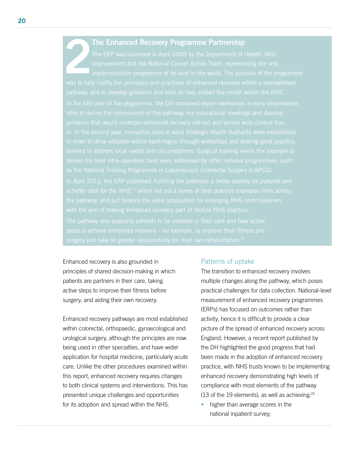#### The Enhanced Recovery Programme Partnership

Enhanced recovery is also grounded in principles of shared decision-making in which patients are partners in their care, taking active steps to improve their fitness before surgery, and aiding their own recovery.

Enhanced recovery pathways are most established within colorectal, orthopaedic, gynaecological and urological surgery, although the principles are now being used in other specialties, and have wider application for hospital medicine, particularly acute care. Unlike the other procedures examined within this report, enhanced recovery requires changes to both clinical systems and interventions. This has presented unique challenges and opportunities for its adoption and spread within the NHS.

#### Patterns of uptake

The transition to enhanced recovery involves multiple changes along the pathway, which poses practical challenges for data collection. National-level measurement of enhanced recovery programmes (ERPs) has focused on outcomes rather than activity, hence it is difficult to provide a clear picture of the spread of enhanced recovery across England. However, a recent report published by the DH highlighted the good progress that had been made in the adoption of enhanced recovery practice, with NHS trusts known to be implementing enhanced recovery demonstrating high levels of compliance with most elements of the pathway (13 of the 19 elements), as well as achieving:25

• higher than average scores in the national inpatient survey;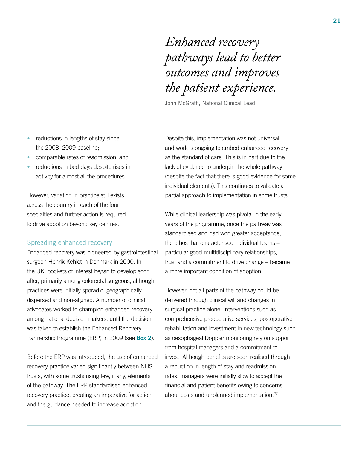*Enhanced recovery pathways lead to better outcomes and improves the patient experience.*

John McGrath, National Clinical Lead

- reductions in lengths of stay since the 2008–2009 baseline;
- comparable rates of readmission; and
- reductions in bed days despite rises in activity for almost all the procedures.

However, variation in practice still exists across the country in each of the four specialties and further action is required to drive adoption beyond key centres.

#### Spreading enhanced recovery

Enhanced recovery was pioneered by gastrointestinal surgeon Henrik Kehlet in Denmark in 2000. In the UK, pockets of interest began to develop soon after, primarily among colorectal surgeons, although practices were initially sporadic, geographically dispersed and non-aligned. A number of clinical advocates worked to champion enhanced recovery among national decision makers, until the decision was taken to establish the Enhanced Recovery Partnership Programme (ERP) in 2009 (see Box 2).

Before the ERP was introduced, the use of enhanced recovery practice varied significantly between NHS trusts, with some trusts using few, if any, elements of the pathway. The ERP standardised enhanced recovery practice, creating an imperative for action and the guidance needed to increase adoption.

Despite this, implementation was not universal, and work is ongoing to embed enhanced recovery as the standard of care. This is in part due to the lack of evidence to underpin the whole pathway (despite the fact that there is good evidence for some individual elements). This continues to validate a partial approach to implementation in some trusts.

While clinical leadership was pivotal in the early years of the programme, once the pathway was standardised and had won greater acceptance, the ethos that characterised individual teams – in particular good multidisciplinary relationships, trust and a commitment to drive change – became a more important condition of adoption.

However, not all parts of the pathway could be delivered through clinical will and changes in surgical practice alone. Interventions such as comprehensive preoperative services, postoperative rehabilitation and investment in new technology such as oesophageal Doppler monitoring rely on support from hospital managers and a commitment to invest. Although benefits are soon realised through a reduction in length of stay and readmission rates, managers were initially slow to accept the financial and patient benefits owing to concerns about costs and unplanned implementation.<sup>27</sup>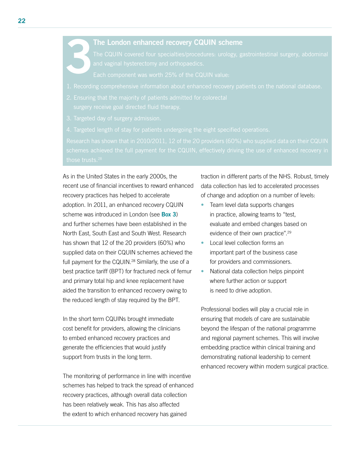#### The London enhanced recovery CQUIN scheme

- 
- 
- 
- 

As in the United States in the early 2000s, the recent use of financial incentives to reward enhanced recovery practices has helped to accelerate adoption. In 2011, an enhanced recovery CQUIN scheme was introduced in London (see **Box 3)** and further schemes have been established in the North East, South East and South West. Research has shown that 12 of the 20 providers (60%) who supplied data on their CQUIN schemes achieved the full payment for the CQUIN.<sup>28</sup> Similarly, the use of a best practice tariff (BPT) for fractured neck of femur and primary total hip and knee replacement have aided the transition to enhanced recovery owing to the reduced length of stay required by the BPT.

In the short term CQUINs brought immediate cost benefit for providers, allowing the clinicians to embed enhanced recovery practices and generate the efficiencies that would justify support from trusts in the long term.

The monitoring of performance in line with incentive schemes has helped to track the spread of enhanced recovery practices, although overall data collection has been relatively weak. This has also affected the extent to which enhanced recovery has gained

traction in different parts of the NHS. Robust, timely data collection has led to accelerated processes of change and adoption on a number of levels:

- Team level data supports changes in practice, allowing teams to "test, evaluate and embed changes based on evidence of their own practice".29
- Local level collection forms an important part of the business case for providers and commissioners.
- National data collection helps pinpoint where further action or support is need to drive adoption.

Professional bodies will play a crucial role in ensuring that models of care are sustainable beyond the lifespan of the national programme and regional payment schemes. This will involve embedding practice within clinical training and demonstrating national leadership to cement enhanced recovery within modern surgical practice.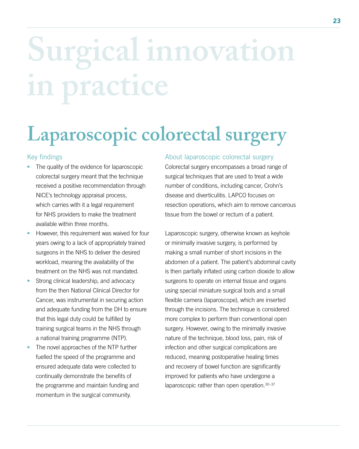## **Surgical innovation in practice**

### **Laparoscopic colorectal surgery**

#### Key findings

- The quality of the evidence for laparoscopic colorectal surgery meant that the technique received a positive recommendation through NICE's technology appraisal process, which carries with it a legal requirement for NHS providers to make the treatment available within three months.
- However, this requirement was waived for four years owing to a lack of appropriately trained surgeons in the NHS to deliver the desired workload, meaning the availability of the treatment on the NHS was not mandated.
- Strong clinical leadership, and advocacy from the then National Clinical Director for Cancer, was instrumental in securing action and adequate funding from the DH to ensure that this legal duty could be fulfilled by training surgical teams in the NHS through a national training programme (NTP).
- The novel approaches of the NTP further fuelled the speed of the programme and ensured adequate data were collected to continually demonstrate the benefits of the programme and maintain funding and momentum in the surgical community.

#### About laparoscopic colorectal surgery

Colorectal surgery encompasses a broad range of surgical techniques that are used to treat a wide number of conditions, including cancer, Crohn's disease and diverticulitis. LAPCO focuses on resection operations, which aim to remove cancerous tissue from the bowel or rectum of a patient.

Laparoscopic surgery, otherwise known as keyhole or minimally invasive surgery, is performed by making a small number of short incisions in the abdomen of a patient. The patient's abdominal cavity is then partially inflated using carbon dioxide to allow surgeons to operate on internal tissue and organs using special miniature surgical tools and a small flexible camera (laparoscope), which are inserted through the incisions. The technique is considered more complex to perform than conventional open surgery. However, owing to the minimally invasive nature of the technique, blood loss, pain, risk of infection and other surgical complications are reduced, meaning postoperative healing times and recovery of bowel function are significantly improved for patients who have undergone a laparoscopic rather than open operation. 30-37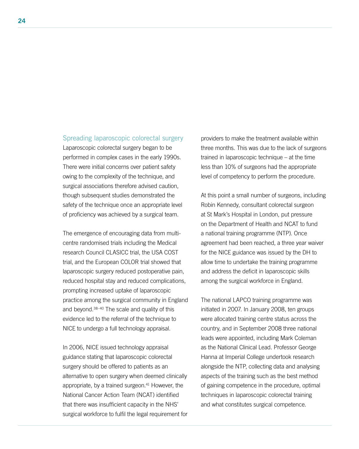#### Spreading laparoscopic colorectal surgery

Laparoscopic colorectal surgery began to be performed in complex cases in the early 1990s. There were initial concerns over patient safety owing to the complexity of the technique, and surgical associations therefore advised caution, though subsequent studies demonstrated the safety of the technique once an appropriate level of proficiency was achieved by a surgical team.

The emergence of encouraging data from multicentre randomised trials including the Medical research Council CLASICC trial, the USA COST trial, and the European COLOR trial showed that laparoscopic surgery reduced postoperative pain, reduced hospital stay and reduced complications, prompting increased uptake of laparoscopic practice among the surgical community in England and beyond.38–40 The scale and quality of this evidence led to the referral of the technique to NICE to undergo a full technology appraisal.

In 2006, NICE issued technology appraisal guidance stating that laparoscopic colorectal surgery should be offered to patients as an alternative to open surgery when deemed clinically appropriate, by a trained surgeon.<sup>41</sup> However, the National Cancer Action Team (NCAT) identified that there was insufficient capacity in the NHS' surgical workforce to fulfil the legal requirement for providers to make the treatment available within three months. This was due to the lack of surgeons trained in laparoscopic technique – at the time less than 10% of surgeons had the appropriate level of competency to perform the procedure.

At this point a small number of surgeons, including Robin Kennedy, consultant colorectal surgeon at St Mark's Hospital in London, put pressure on the Department of Health and NCAT to fund a national training programme (NTP). Once agreement had been reached, a three year waiver for the NICE guidance was issued by the DH to allow time to undertake the training programme and address the deficit in laparoscopic skills among the surgical workforce in England.

The national LAPCO training programme was initiated in 2007. In January 2008, ten groups were allocated training centre status across the country, and in September 2008 three national leads were appointed, including Mark Coleman as the National Clinical Lead. Professor George Hanna at Imperial College undertook research alongside the NTP, collecting data and analysing aspects of the training such as the best method of gaining competence in the procedure, optimal techniques in laparoscopic colorectal training and what constitutes surgical competence.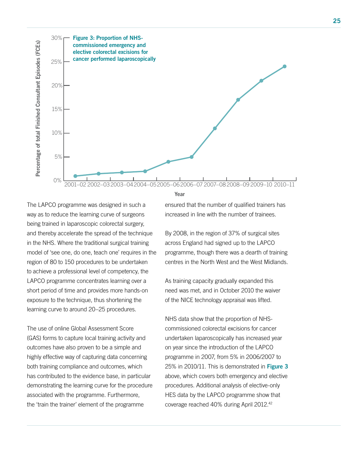



The LAPCO programme was designed in such a way as to reduce the learning curve of surgeons being trained in laparoscopic colorectal surgery, and thereby accelerate the spread of the technique in the NHS. Where the traditional surgical training model of 'see one, do one, teach one' requires in the region of 80 to 150 procedures to be undertaken to achieve a professional level of competency, the LAPCO programme concentrates learning over a short period of time and provides more hands-on exposure to the technique, thus shortening the learning curve to around 20–25 procedures.

The use of online Global Assessment Score (GAS) forms to capture local training activity and outcomes have also proven to be a simple and highly effective way of capturing data concerning both training compliance and outcomes, which has contributed to the evidence base, in particular demonstrating the learning curve for the procedure associated with the programme. Furthermore, the 'train the trainer' element of the programme

ensured that the number of qualified trainers has increased in line with the number of trainees.

By 2008, in the region of 37% of surgical sites across England had signed up to the LAPCO programme, though there was a dearth of training centres in the North West and the West Midlands.

As training capacity gradually expanded this need was met, and in October 2010 the waiver of the NICE technology appraisal was lifted.

NHS data show that the proportion of NHScommissioned colorectal excisions for cancer undertaken laparoscopically has increased year on year since the introduction of the LAPCO programme in 2007, from 5% in 2006/2007 to 25% in 2010/11. This is demonstrated in Figure  $3$ above, which covers both emergency and elective procedures. Additional analysis of elective-only HES data by the LAPCO programme show that coverage reached 40% during April 2012.42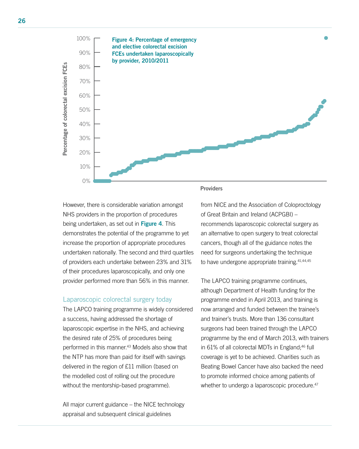

However, there is considerable variation amongst NHS providers in the proportion of procedures being undertaken, as set out in Figure 4. This demonstrates the potential of the programme to yet increase the proportion of appropriate procedures undertaken nationally. The second and third quartiles of providers each undertake between 23% and 31% of their procedures laparoscopically, and only one provider performed more than 56% in this manner.

#### Laparoscopic colorectal surgery today

The LAPCO training programme is widely considered a success, having addressed the shortage of laparoscopic expertise in the NHS, and achieving the desired rate of 25% of procedures being performed in this manner.43 Models also show that the NTP has more than paid for itself with savings delivered in the region of £11 million (based on the modelled cost of rolling out the procedure without the mentorship-based programme).

All major current guidance – the NICE technology appraisal and subsequent clinical guidelines

#### **Providers**

from NICE and the Association of Coloproctology of Great Britain and Ireland (ACPGBI) – recommends laparoscopic colorectal surgery as an alternative to open surgery to treat colorectal cancers, though all of the guidance notes the need for surgeons undertaking the technique to have undergone appropriate training.<sup>41,44,45</sup>

The LAPCO training programme continues, although Department of Health funding for the programme ended in April 2013, and training is now arranged and funded between the trainee's and trainer's trusts. More than 136 consultant surgeons had been trained through the LAPCO programme by the end of March 2013, with trainers in 61% of all colorectal MDTs in England;<sup>46</sup> full coverage is yet to be achieved. Charities such as Beating Bowel Cancer have also backed the need to promote informed choice among patients of whether to undergo a laparoscopic procedure.<sup>47</sup>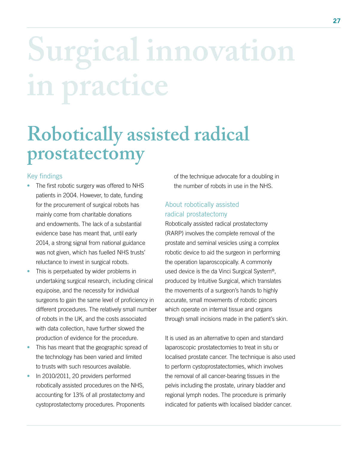# **Surgical innovation in practice**

### **Robotically assisted radical prostatectomy**

#### Key findings

- The first robotic surgery was offered to NHS patients in 2004. However, to date, funding for the procurement of surgical robots has mainly come from charitable donations and endowments. The lack of a substantial evidence base has meant that, until early 2014, a strong signal from national guidance was not given, which has fuelled NHS trusts' reluctance to invest in surgical robots.
- This is perpetuated by wider problems in undertaking surgical research, including clinical equipoise, and the necessity for individual surgeons to gain the same level of proficiency in different procedures. The relatively small number of robots in the UK, and the costs associated with data collection, have further slowed the production of evidence for the procedure.
- This has meant that the geographic spread of the technology has been varied and limited to trusts with such resources available.
- In 2010/2011, 20 providers performed robotically assisted procedures on the NHS, accounting for 13% of all prostatectomy and cystoprostatectomy procedures. Proponents

of the technique advocate for a doubling in the number of robots in use in the NHS.

#### About robotically assisted radical prostatectomy

Robotically assisted radical prostatectomy (RARP) involves the complete removal of the prostate and seminal vesicles using a complex robotic device to aid the surgeon in performing the operation laparoscopically. A commonly used device is the da Vinci Surgical System®, produced by Intuitive Surgical, which translates the movements of a surgeon's hands to highly accurate, small movements of robotic pincers which operate on internal tissue and organs through small incisions made in the patient's skin.

It is used as an alternative to open and standard laparoscopic prostatectomies to treat in situ or localised prostate cancer. The technique is also used to perform cystoprostatectomies, which involves the removal of all cancer-bearing tissues in the pelvis including the prostate, urinary bladder and regional lymph nodes. The procedure is primarily indicated for patients with localised bladder cancer.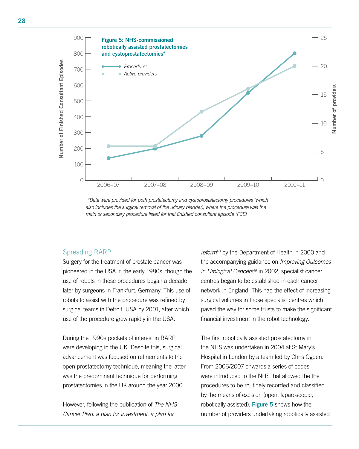

 *\*Data were provided for both prostatectomy and cystoprostatectomy procedures (which also includes the surgical removal of the urinary bladder), where the procedure was the main or secondary procedure listed for that finished consultant episode (FCE).* 

#### Spreading RARP

Surgery for the treatment of prostate cancer was pioneered in the USA in the early 1980s, though the use of robots in these procedures began a decade later by surgeons in Frankfurt, Germany. This use of robots to assist with the procedure was refined by surgical teams in Detroit, USA by 2001, after which use of the procedure grew rapidly in the USA.

During the 1990s pockets of interest in RARP were developing in the UK. Despite this, surgical advancement was focused on refinements to the open prostatectomy technique, meaning the latter was the predominant technique for performing prostatectomies in the UK around the year 2000.

However, following the publication of *The NHS Cancer Plan: a plan for investment, a plan for* 

*reform*48 by the Department of Health in 2000 and the accompanying guidance on *Improving Outcomes in Urological Cancers*49 in 2002, specialist cancer centres began to be established in each cancer network in England. This had the effect of increasing surgical volumes in those specialist centres which paved the way for some trusts to make the significant financial investment in the robot technology.

The first robotically assisted prostatectomy in the NHS was undertaken in 2004 at St Mary's Hospital in London by a team led by Chris Ogden. From 2006/2007 onwards a series of codes were introduced to the NHS that allowed the the procedures to be routinely recorded and classified by the means of excision (open, laparoscopic, robotically assisted). Figure 5 shows how the number of providers undertaking robotically assisted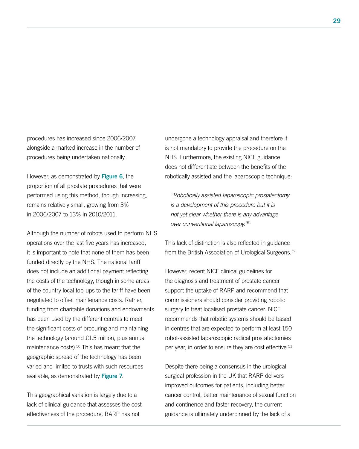procedures has increased since 2006/2007, alongside a marked increase in the number of procedures being undertaken nationally.

However, as demonstrated by Figure 6, the proportion of all prostate procedures that were performed using this method, though increasing, remains relatively small, growing from 3% in 2006/2007 to 13% in 2010/2011.

Although the number of robots used to perform NHS operations over the last five years has increased, it is important to note that none of them has been funded directly by the NHS. The national tariff does not include an additional payment reflecting the costs of the technology, though in some areas of the country local top-ups to the tariff have been negotiated to offset maintenance costs. Rather, funding from charitable donations and endowments has been used by the different centres to meet the significant costs of procuring and maintaining the technology (around £1.5 million, plus annual maintenance costs).50 This has meant that the geographic spread of the technology has been varied and limited to trusts with such resources available, as demonstrated by Figure 7.

This geographical variation is largely due to a lack of clinical guidance that assesses the costeffectiveness of the procedure. RARP has not

undergone a technology appraisal and therefore it is not mandatory to provide the procedure on the NHS. Furthermore, the existing NICE guidance does not differentiate between the benefits of the robotically assisted and the laparoscopic technique:

*"Robotically assisted laparoscopic prostatectomy is a development of this procedure but it is not yet clear whether there is any advantage over conventional laparoscopy."*<sup>51</sup>

This lack of distinction is also reflected in guidance from the British Association of Urological Surgeons.<sup>52</sup>

However, recent NICE clinical guidelines for the diagnosis and treatment of prostate cancer support the uptake of RARP and recommend that commissioners should consider providing robotic surgery to treat localised prostate cancer. NICE recommends that robotic systems should be based in centres that are expected to perform at least 150 robot-assisted laparoscopic radical prostatectomies per year, in order to ensure they are cost effective.<sup>53</sup>

Despite there being a consensus in the urological surgical profession in the UK that RARP delivers improved outcomes for patients, including better cancer control, better maintenance of sexual function and continence and faster recovery, the current guidance is ultimately underpinned by the lack of a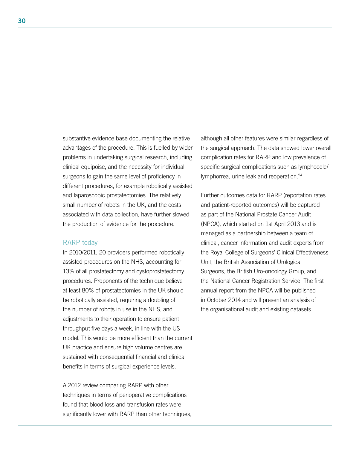substantive evidence base documenting the relative advantages of the procedure. This is fuelled by wider problems in undertaking surgical research, including clinical equipoise, and the necessity for individual surgeons to gain the same level of proficiency in different procedures, for example robotically assisted and laparoscopic prostatectomies. The relatively small number of robots in the UK, and the costs associated with data collection, have further slowed the production of evidence for the procedure.

#### RARP today

In 2010/2011, 20 providers performed robotically assisted procedures on the NHS, accounting for 13% of all prostatectomy and cystoprostatectomy procedures. Proponents of the technique believe at least 80% of prostatectomies in the UK should be robotically assisted, requiring a doubling of the number of robots in use in the NHS, and adjustments to their operation to ensure patient throughput five days a week, in line with the US model. This would be more efficient than the current UK practice and ensure high volume centres are sustained with consequential financial and clinical benefits in terms of surgical experience levels.

A 2012 review comparing RARP with other techniques in terms of perioperative complications found that blood loss and transfusion rates were significantly lower with RARP than other techniques, although all other features were similar regardless of the surgical approach. The data showed lower overall complication rates for RARP and low prevalence of specific surgical complications such as lymphocele/ lymphorrea, urine leak and reoperation.<sup>54</sup>

Further outcomes data for RARP (reportation rates and patient-reported outcomes) will be captured as part of the National Prostate Cancer Audit (NPCA), which started on 1st April 2013 and is managed as a partnership between a team of clinical, cancer information and audit experts from the Royal College of Surgeons' Clinical Effectiveness Unit, the British Association of Urological Surgeons, the British Uro-oncology Group, and the National Cancer Registration Service. The first annual report from the NPCA will be published in October 2014 and will present an analysis of the organisational audit and existing datasets.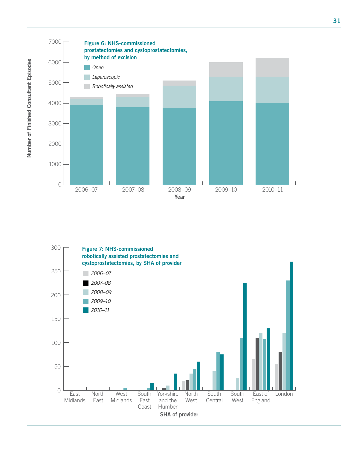



Number of Finished Consultant Episodes Number of Finished Consultant Episodes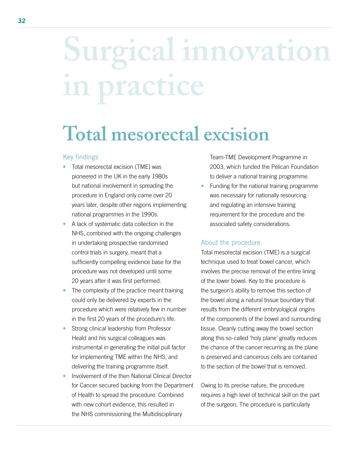## **Surgical innovation in practice**

### **Total mesorectal excision**

#### Key findings

- Total mesorectal excision (TME) was pioneered in the UK in the early 1980s but national involvement in spreading the procedure in England only came over 20 years later, despite other regions implementing national programmes in the 1990s.
- A lack of systematic data collection in the NHS, combined with the ongoing challenges in undertaking prospective randomised control trials in surgery, meant that a sufficiently compelling evidence base for the procedure was not developed until some 20 years after it was first performed.
- The complexity of the practice meant training could only be delivered by experts in the procedure which were relatively few in number in the first 20 years of the procedure's life.
- Strong clinical leadership from Professor Heald and his surgical colleagues was instrumental in generating the initial pull factor for implementing TME within the NHS, and delivering the training programme itself.
- Involvement of the then National Clinical Director for Cancer secured backing from the Department of Health to spread the procedure. Combined with new cohort evidence, this resulted in the NHS commissioning the Multidisciplinary

Team-TME Development Programme in 2003, which funded the Pelican Foundation to deliver a national training programme.

• Funding for the national training programme was necessary for nationally resourcing and regulating an intensive training requirement for the procedure and the associated safety considerations.

#### About the procedure

Total mesorectal excision (TME) is a surgical technique used to treat bowel cancer, which involves the precise removal of the entire lining of the lower bowel. Key to the procedure is the surgeon's ability to remove this section of the bowel along a natural tissue boundary that results from the different embryological origins of the components of the bowel and surrounding tissue. Cleanly cutting away the bowel section along this so-called 'holy plane' greatly reduces the chance of the cancer recurring as the plane is preserved and cancerous cells are contained to the section of the bowel that is removed.

Owing to its precise nature, the procedure requires a high level of technical skill on the part of the surgeon. The procedure is particularly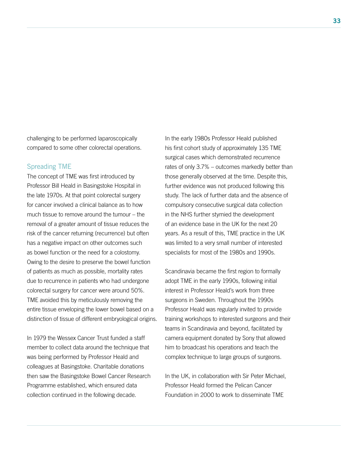challenging to be performed laparoscopically compared to some other colorectal operations.

#### Spreading TME

The concept of TME was first introduced by Professor Bill Heald in Basingstoke Hospital in the late 1970s. At that point colorectal surgery for cancer involved a clinical balance as to how much tissue to remove around the tumour – the removal of a greater amount of tissue reduces the risk of the cancer returning (recurrence) but often has a negative impact on other outcomes such as bowel function or the need for a colostomy. Owing to the desire to preserve the bowel function of patients as much as possible, mortality rates due to recurrence in patients who had undergone colorectal surgery for cancer were around 50%. TME avoided this by meticulously removing the entire tissue enveloping the lower bowel based on a distinction of tissue of different embryological origins.

In 1979 the Wessex Cancer Trust funded a staff member to collect data around the technique that was being performed by Professor Heald and colleagues at Basingstoke. Charitable donations then saw the Basingstoke Bowel Cancer Research Programme established, which ensured data collection continued in the following decade.

In the early 1980s Professor Heald published his first cohort study of approximately 135 TME surgical cases which demonstrated recurrence rates of only 3.7% – outcomes markedly better than those generally observed at the time. Despite this, further evidence was not produced following this study. The lack of further data and the absence of compulsory consecutive surgical data collection in the NHS further stymied the development of an evidence base in the UK for the next 20 years. As a result of this, TME practice in the UK was limited to a very small number of interested specialists for most of the 1980s and 1990s.

Scandinavia became the first region to formally adopt TME in the early 1990s, following initial interest in Professor Heald's work from three surgeons in Sweden. Throughout the 1990s Professor Heald was regularly invited to provide training workshops to interested surgeons and their teams in Scandinavia and beyond, facilitated by camera equipment donated by Sony that allowed him to broadcast his operations and teach the complex technique to large groups of surgeons.

In the UK, in collaboration with Sir Peter Michael, Professor Heald formed the Pelican Cancer Foundation in 2000 to work to disseminate TME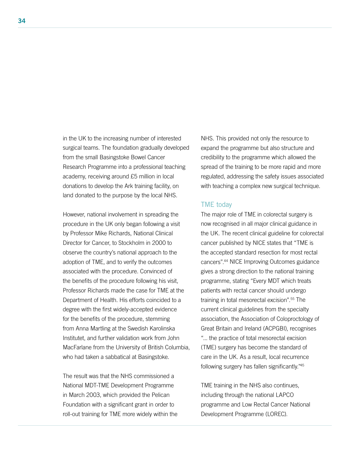in the UK to the increasing number of interested surgical teams. The foundation gradually developed from the small Basingstoke Bowel Cancer Research Programme into a professional teaching academy, receiving around £5 million in local donations to develop the Ark training facility, on land donated to the purpose by the local NHS.

However, national involvement in spreading the procedure in the UK only began following a visit by Professor Mike Richards, National Clinical Director for Cancer, to Stockholm in 2000 to observe the country's national approach to the adoption of TME, and to verify the outcomes associated with the procedure. Convinced of the benefits of the procedure following his visit, Professor Richards made the case for TME at the Department of Health. His efforts coincided to a degree with the first widely-accepted evidence for the benefits of the procedure, stemming from Anna Martling at the Swedish Karolinska Institutet, and further validation work from John MacFarlane from the University of British Columbia, who had taken a sabbatical at Basingstoke.

The result was that the NHS commissioned a National MDT-TME Development Programme in March 2003, which provided the Pelican Foundation with a significant grant in order to roll-out training for TME more widely within the NHS. This provided not only the resource to expand the programme but also structure and credibility to the programme which allowed the spread of the training to be more rapid and more regulated, addressing the safety issues associated with teaching a complex new surgical technique.

#### TME today

The major role of TME in colorectal surgery is now recognised in all major clinical guidance in the UK. The recent clinical guideline for colorectal cancer published by NICE states that "TME is the accepted standard resection for most rectal cancers".44 NICE Improving Outcomes guidance gives a strong direction to the national training programme, stating "Every MDT which treats patients with rectal cancer should undergo training in total mesorectal excision".55 The current clinical guidelines from the specialty association, the Association of Coloproctology of Great Britain and Ireland (ACPGBI), recognises "... the practice of total mesorectal excision (TME) surgery has become the standard of care in the UK. As a result, local recurrence following surgery has fallen significantly."45

TME training in the NHS also continues, including through the national LAPCO programme and Low Rectal Cancer National Development Programme (LOREC).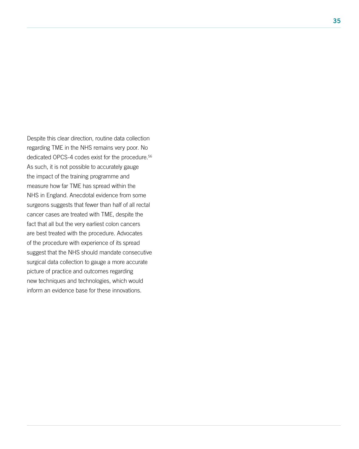Despite this clear direction, routine data collection regarding TME in the NHS remains very poor. No dedicated OPCS-4 codes exist for the procedure.<sup>56</sup> As such, it is not possible to accurately gauge the impact of the training programme and measure how far TME has spread within the NHS in England. Anecdotal evidence from some surgeons suggests that fewer than half of all rectal cancer cases are treated with TME, despite the fact that all but the very earliest colon cancers are best treated with the procedure. Advocates of the procedure with experience of its spread suggest that the NHS should mandate consecutive surgical data collection to gauge a more accurate picture of practice and outcomes regarding new techniques and technologies, which would inform an evidence base for these innovations.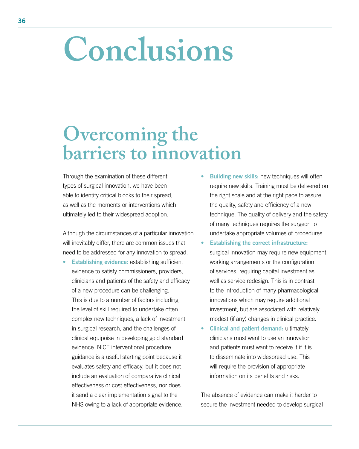### **Conclusions**

### **Overcoming the barriers to innovation**

Through the examination of these different types of surgical innovation, we have been able to identify critical blocks to their spread, as well as the moments or interventions which ultimately led to their widespread adoption.

Although the circumstances of a particular innovation will inevitably differ, there are common issues that need to be addressed for any innovation to spread.

- **Establishing evidence:** establishing sufficient evidence to satisfy commissioners, providers, clinicians and patients of the safety and efficacy of a new procedure can be challenging. This is due to a number of factors including the level of skill required to undertake often complex new techniques, a lack of investment in surgical research, and the challenges of clinical equipoise in developing gold standard evidence. NICE interventional procedure guidance is a useful starting point because it evaluates safety and efficacy, but it does not include an evaluation of comparative clinical effectiveness or cost effectiveness, nor does it send a clear implementation signal to the NHS owing to a lack of appropriate evidence.
- **Building new skills: new techniques will often** require new skills. Training must be delivered on the right scale and at the right pace to assure the quality, safety and efficiency of a new technique. The quality of delivery and the safety of many techniques requires the surgeon to undertake appropriate volumes of procedures.
- Establishing the correct infrastructure: surgical innovation may require new equipment, working arrangements or the configuration of services, requiring capital investment as well as service redesign. This is in contrast to the introduction of many pharmacological innovations which may require additional investment, but are associated with relatively modest (if any) changes in clinical practice.
- Clinical and patient demand: ultimately clinicians must want to use an innovation and patients must want to receive it if it is to disseminate into widespread use. This will require the provision of appropriate information on its benefits and risks.

The absence of evidence can make it harder to secure the investment needed to develop surgical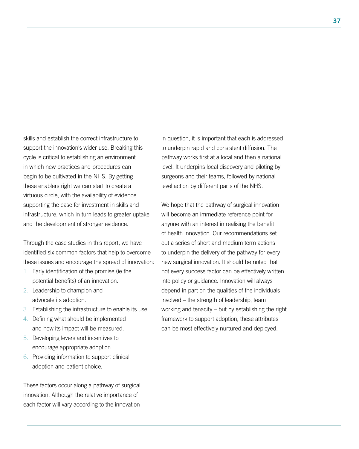skills and establish the correct infrastructure to support the innovation's wider use. Breaking this cycle is critical to establishing an environment in which new practices and procedures can begin to be cultivated in the NHS. By getting these enablers right we can start to create a virtuous circle, with the availability of evidence supporting the case for investment in skills and infrastructure, which in turn leads to greater uptake and the development of stronger evidence.

Through the case studies in this report, we have identified six common factors that help to overcome these issues and encourage the spread of innovation:

- 1. Early identification of the promise (ie the potential benefits) of an innovation.
- 2. Leadership to champion and advocate its adoption.
- 3. Establishing the infrastructure to enable its use.
- 4. Defining what should be implemented and how its impact will be measured.
- 5. Developing levers and incentives to encourage appropriate adoption.
- 6. Providing information to support clinical adoption and patient choice.

These factors occur along a pathway of surgical innovation. Although the relative importance of each factor will vary according to the innovation in question, it is important that each is addressed to underpin rapid and consistent diffusion. The pathway works first at a local and then a national level. It underpins local discovery and piloting by surgeons and their teams, followed by national level action by different parts of the NHS.

We hope that the pathway of surgical innovation will become an immediate reference point for anyone with an interest in realising the benefit of health innovation. Our recommendations set out a series of short and medium term actions to underpin the delivery of the pathway for every new surgical innovation. It should be noted that not every success factor can be effectively written into policy or guidance. Innovation will always depend in part on the qualities of the individuals involved – the strength of leadership, team working and tenacity – but by establishing the right framework to support adoption, these attributes can be most effectively nurtured and deployed.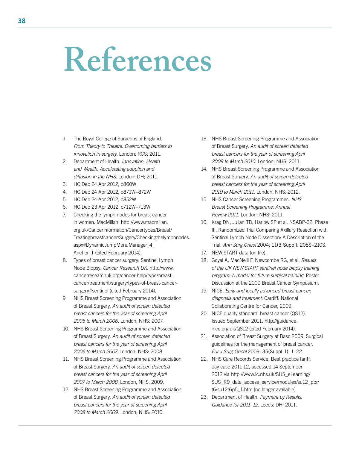### **References**

- 1. The Royal College of Surgeons of England. *From Theory to Theatre: Overcoming barriers to innovation in surgery.* London: RCS; 2011.
- 2. Department of Health. *Innovation, Health and Wealth: Accelerating adoption and diffusion in the NHS.* London: DH; 2011.
- 3. HC Deb 24 Apr 2012, c860W
- 4. HC Deb 24 Apr 2012, c871W–872W
- 5. HC Deb 24 Apr 2012, c852W
- 6. HC Deb 23 Apr 2012, c712W–713W
- 7. Checking the lymph nodes for breast cancer in women. MacMillan. http://www.macmillan. org.uk/Cancerinformation/Cancertypes/Breast/ Treatingbreastcancer/Surgery/Checkingthelymphnodes. aspx#DynamicJumpMenuManager\_4\_ Anchor\_1 (cited February 2014).
- 8. Types of breast cancer surgery: Sentinel Lymph Node Biopsy. *Cancer Research UK.* http://www. cancerresearchuk.org/cancer-help/type/breastcancer/treatment/surgery/types-of-breast-cancersurgery#sentinel (cited February 2014).
- 9. NHS Breast Screening Programme and Association of Breast Surgery. *An audit of screen detected breast cancers for the year of screening April 2005 to March 2006.* London; NHS: 2007.
- 10. NHS Breast Screening Programme and Association of Breast Surgery. *An audit of screen detected breast cancers for the year of screening April 2006 to March 2007.* London; NHS: 2008.
- 11. NHS Breast Screening Programme and Association of Breast Surgery. *An audit of screen detected breast cancers for the year of screening April 2007 to March 2008.* London; NHS: 2009.
- 12. NHS Breast Screening Programme and Association of Breast Surgery. *An audit of screen detected breast cancers for the year of screening April 2008 to March 2009.* London; NHS: 2010.
- 13. NHS Breast Screening Programme and Association of Breast Surgery. *An audit of screen detected breast cancers for the year of screening April 2009 to March 2010.* London; NHS: 2011.
- 14. NHS Breast Screening Programme and Association of Breast Surgery. *An audit of screen detected breast cancers for the year of screening April 2010 to March 2011.* London; NHS: 2012.
- 15. NHS Cancer Screening Programmes. *NHS Breast Screening Programme: Annual Review 2011.* London; NHS: 2011.
- 16. Krag DN, Julian TB, Harlow SP et al. NSABP-32: Phase III, Randomized Trial Comparing Axillary Resection with Sentinal Lymph Node Dissection: A Description of the Trial. *Ann Surg Oncol* 2004; 11(3 Suppl): 208S–210S.
- 17. NEW START data (on file).
- 18. Goyal A, MacNeill F, Newcombe RG, et al. *Results of the UK NEW START sentinel node biopsy training program: A model for future surgical training.* Poster Discussion at the 2009 Breast Cancer Symposium.
- 19. NICE. *Early and locally advanced breast cancer: diagnosis and treatment.* Cardiff: National Collaborating Centre for Cancer; 2009.
- 20. NICE quality standard: breast cancer (QS12). Issued September 2011. http://guidance. nice.org.uk/QS12 (cited February 2014).
- 21. Association of Breast Surgery at Baso 2009. Surgical guidelines for the management of breast cancer. *Eur J Surg Oncol* 2009; 35(Suppl 1): 1–22.
- 22. NHS Care Records Service, Best practice tariff: day case 2011-12, accessed 14 September 2012 via http://www.ic.nhs.uk/SUS\_eLearning/ SUS\_R9\_data\_access\_service/modules/su12\_pbr/ t6/su12t6p5\_1.htm [no longer available]
- 23. Department of Health. *Payment by Results: Guidance for 2011–12.* Leeds: DH; 2011.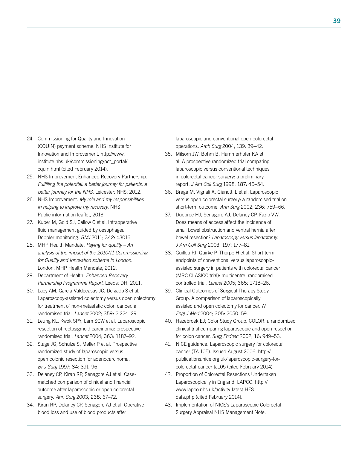- 24. Commissioning for Quality and Innovation (CQUIN) payment scheme. NHS Institute for Innovation and Improvement. http://www. institute.nhs.uk/commissioning/pct\_portal/ cquin.html (cited February 2014).
- 25. NHS Improvement Enhanced Recovery Partnership. *Fulfilling the potential: a better journey for patients, a better journey for the NHS.* Leicester: NHS; 2012.
- 26. NHS Improvement. *My role and my responsibilities in helping to improve my recovery.* NHS Public information leaflet, 2013.
- 27. Kuper M, Gold SJ, Callow C et al. Intraoperative fluid management guided by oesophageal Doppler monitoring. *BMJ* 2011; 342: d3016.
- 28. MHP Health Mandate. *Paying for quality An analysis of the impact of the 2010/11 Commissioning for Quality and Innovation scheme in London.*  London: MHP Health Mandate; 2012.
- 29. Department of Health. *Enhanced Recovery Partnership Programme Report.* Leeds: DH; 2011.
- 30. Lacy AM, Garcia-Valdecasas JC, Delgado S et al. Laparoscopy-assisted colectomy versus open colectomy for treatment of non-metastatic colon cancer: a randomised trial. *Lancet* 2002; 359: 2,224–29.
- 31. Leung KL, Kwok SPY, Lam SCW et al. Laparoscopic resection of rectosigmoid carcinoma: prospective randomised trial. *Lancet* 2004; 363: 1187–92.
- 32. Stage JG, Schulze S, Møller P et al. Prospective randomized study of laparoscopic versus open colonic resection for adenocarcinoma. *Br J Surg* 1997; 84: 391–96.
- 33. Delaney CP, Kiran RP, Senagore AJ et al. Casematched comparison of clinical and financial outcome after laparoscopic or open colorectal surgery. *Ann Surg* 2003; 238: 67–72.
- 34. Kiran RP, Delaney CP, Senagore AJ et al. Operative blood loss and use of blood products after

laparoscopic and conventional open colorectal operations. *Arch Surg* 2004; 139: 39–42.

- 35. Milsom JW, Bohm B, Hammerhofer KA et al. A prospective randomized trial comparing laparoscopic versus conventional techniques in colorectal cancer surgery: a preliminary report. *J Am Coll Surg* 1998; 187: 46–54.
- 36. Braga M, Vignali A, Gianotti L et al. Laparoscopic versus open colorectal surgery: a randomised trial on short-term outcome. *Ann Surg* 2002; 236: 759–66.
- 37. Duepree HJ, Senagore AJ, Delaney CP, Fazio VW. Does means of access affect the incidence of small bowel obstruction and ventral hernia after bowel resection? *Laparoscopy versus laparotomy. J Am Coll Surg* 2003; 197: 177–81.
- 38. Guillou PJ, Quirke P, Thorpe H et al. Short-term endpoints of conventional versus laparoscopicassisted surgery in patients with colorectal cancer (MRC CLASICC trial): multicentre, randomised controlled trial. *Lancet* 2005; 365: 1718–26.
- 39. Clinical Outcomes of Surgical Therapy Study Group. A comparison of laparoscopically assisted and open colectomy for cancer. *N Engl J Med* 2004; 305: 2050–59.
- 40. Hazebroek EJ; Color Study Group. COLOR: a randomized clinical trial comparing laparoscopic and open resection for colon cancer. *Surg Endosc* 2002; 16: 949–53.
- 41. NICE guidance. Laparoscopic surgery for colorectal cancer (TA 105). Issued August 2006. http:// publications.nice.org.uk/laparoscopic-surgery-forcolorectal-cancer-ta105 (cited February 2014).
- 42. Proportion of Colorectal Resections Undertaken Laparoscopically in England. LAPCO. http:// www.lapco.nhs.uk/activity-latest-HESdata.php (cited February 2014).
- 43. Implementation of NICE's Laparoscopic Colorectal Surgery Appraisal NHS Management Note.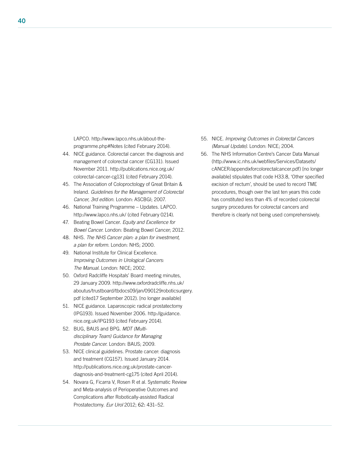LAPCO. http://www.lapco.nhs.uk/about-theprogramme.php#Notes (cited February 2014).

- 44. NICE guidance. Colorectal cancer: the diagnosis and management of colorectal cancer (CG131). Issued November 2011. http://publications.nice.org.uk/ colorectal-cancer-cg131 (cited February 2014).
- 45. The Association of Coloproctology of Great Britain & Ireland. *Guidelines for the Management of Colorectal Cancer, 3rd edition.* London: ASCBGI; 2007.
- 46. National Training Programme Updates. LAPCO. http://www.lapco.nhs.uk/ (cited February 0214).
- 47. Beating Bowel Cancer. *Equity and Excellence for Bowel Cancer.* London: Beating Bowel Cancer; 2012.
- 48. NHS. *The NHS Cancer plan: a plan for investment, a plan for reform.* London: NHS; 2000.
- 49. National Institute for Clinical Excellence. *Improving Outcomes in Urological Cancers: The Manual.* London: NICE; 2002.
- 50. Oxford Radcliffe Hospitals' Board meeting minutes, 29 January 2009. http://www.oxfordradcliffe.nhs.uk/ aboutus/trustboard/tbdocs09/jan/090129roboticsurgery. pdf (cited17 September 2012). [no longer available]
- 51. NICE guidance. Laparoscopic radical prostatectomy (IPG193). Issued November 2006. http://guidance. nice.org.uk/IPG193 (cited February 2014).
- 52. BUG, BAUS and BPG. *MDT (Multidisciplinary Team) Guidance for Managing Prostate Cancer.* London: BAUS; 2009.
- 53. NICE clinical guidelines. Prostate cancer: diagnosis and treatment (CG157). Issued January 2014. http://publications.nice.org.uk/prostate-cancerdiagnosis-and-treatment-cg175 (cited April 2014).
- 54. Novara G, Ficarra V, Rosen R et al. Systematic Review and Meta-analysis of Perioperative Outcomes and Complications after Robotically-assisted Radical Prostatectomy. *Eur Urol* 2012; 62: 431–52.
- 55. NICE. *Improving Outcomes in Colorectal Cancers (Manual Update).* London: NICE; 2004.
- 56. The NHS Information Centre's Cancer Data Manual (http://www.ic.nhs.uk/webfiles/Services/Datasets/ cANCER/appendixforcolorectalcancer.pdf) [no longer available] stipulates that code H33.8, 'Other specified excision of rectum', should be used to record TME procedures, though over the last ten years this code has constituted less than 4% of recorded colorectal surgery procedures for colorectal cancers and therefore is clearly not being used comprehensively.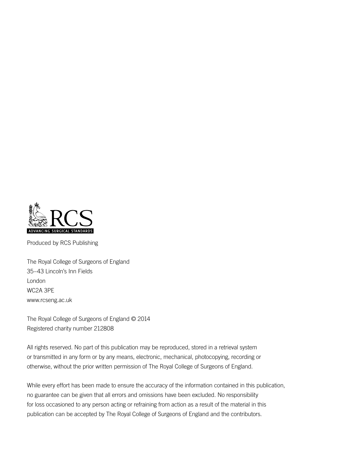

Produced by RCS Publishing

The Royal College of Surgeons of England 35–43 Lincoln's Inn Fields London WC2A 3PE www.rcseng.ac.uk

The Royal College of Surgeons of England © 2014 Registered charity number 212808

All rights reserved. No part of this publication may be reproduced, stored in a retrieval system or transmitted in any form or by any means, electronic, mechanical, photocopying, recording or otherwise, without the prior written permission of The Royal College of Surgeons of England.

While every effort has been made to ensure the accuracy of the information contained in this publication, no guarantee can be given that all errors and omissions have been excluded. No responsibility for loss occasioned to any person acting or refraining from action as a result of the material in this publication can be accepted by The Royal College of Surgeons of England and the contributors.